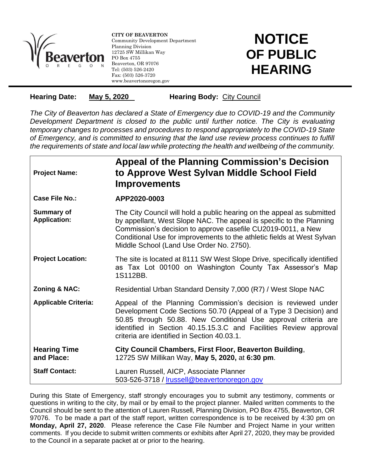

l

**CITY OF BEAVERTON** Community Development Department Planning Division 12725 SW Millikan Way PO Box 4755 Beaverton, OR 97076 Tel: (503) 526-2420 Fax: (503) 526-3720 www.beavertonoregon.gov

## **NOTICE OF PUBLIC HEARING**

**Hearing Date:** May 5, 2020 **Hearing Body:** City Council

*The City of Beaverton has declared a State of Emergency due to COVID-19 and the Community Development Department is closed to the public until further notice. The City is evaluating temporary changes to processes and procedures to respond appropriately to the COVID-19 State of Emergency, and is committed to ensuring that the land use review process continues to fulfill the requirements of state and local law while protecting the health and wellbeing of the community.*

| <b>Project Name:</b>                     | Appeal of the Planning Commission's Decision<br>to Approve West Sylvan Middle School Field<br><b>Improvements</b>                                                                                                                                                                                                                    |
|------------------------------------------|--------------------------------------------------------------------------------------------------------------------------------------------------------------------------------------------------------------------------------------------------------------------------------------------------------------------------------------|
| Case File No.:                           | APP2020-0003                                                                                                                                                                                                                                                                                                                         |
| <b>Summary of</b><br><b>Application:</b> | The City Council will hold a public hearing on the appeal as submitted<br>by appellant, West Slope NAC. The appeal is specific to the Planning<br>Commission's decision to approve casefile CU2019-0011, a New<br>Conditional Use for improvements to the athletic fields at West Sylvan<br>Middle School (Land Use Order No. 2750). |
| <b>Project Location:</b>                 | The site is located at 8111 SW West Slope Drive, specifically identified<br>as Tax Lot 00100 on Washington County Tax Assessor's Map<br>1S112BB.                                                                                                                                                                                     |
| <b>Zoning &amp; NAC:</b>                 | Residential Urban Standard Density 7,000 (R7) / West Slope NAC                                                                                                                                                                                                                                                                       |
| <b>Applicable Criteria:</b>              | Appeal of the Planning Commission's decision is reviewed under<br>Development Code Sections 50.70 (Appeal of a Type 3 Decision) and<br>50.85 through 50.88. New Conditional Use approval criteria are<br>identified in Section 40.15.15.3.C and Facilities Review approval<br>criteria are identified in Section 40.03.1.            |
| <b>Hearing Time</b><br>and Place:        | City Council Chambers, First Floor, Beaverton Building,<br>12725 SW Millikan Way, May 5, 2020, at 6:30 pm.                                                                                                                                                                                                                           |
| <b>Staff Contact:</b>                    | Lauren Russell, AICP, Associate Planner<br>503-526-3718 / Irussell@beavertonoregon.gov                                                                                                                                                                                                                                               |

During this State of Emergency, staff strongly encourages you to submit any testimony, comments or questions in writing to the city, by mail or by email to the project planner. Mailed written comments to the Council should be sent to the attention of Lauren Russell, Planning Division, PO Box 4755, Beaverton, OR 97076. To be made a part of the staff report, written correspondence is to be received by 4:30 pm on **Monday, April 27, 2020**. Please reference the Case File Number and Project Name in your written comments. If you decide to submit written comments or exhibits after April 27, 2020, they may be provided to the Council in a separate packet at or prior to the hearing.